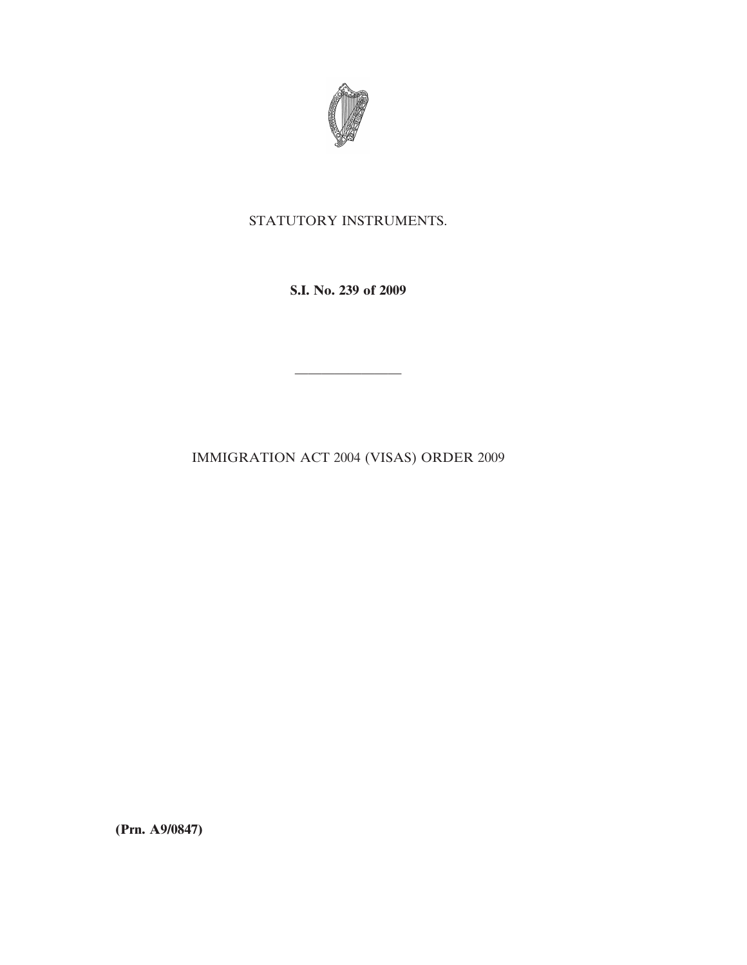

# STATUTORY INSTRUMENTS.

**S.I. No. 239 of 2009**

————————

IMMIGRATION ACT 2004 (VISAS) ORDER 2009

**(Prn. A9/0847)**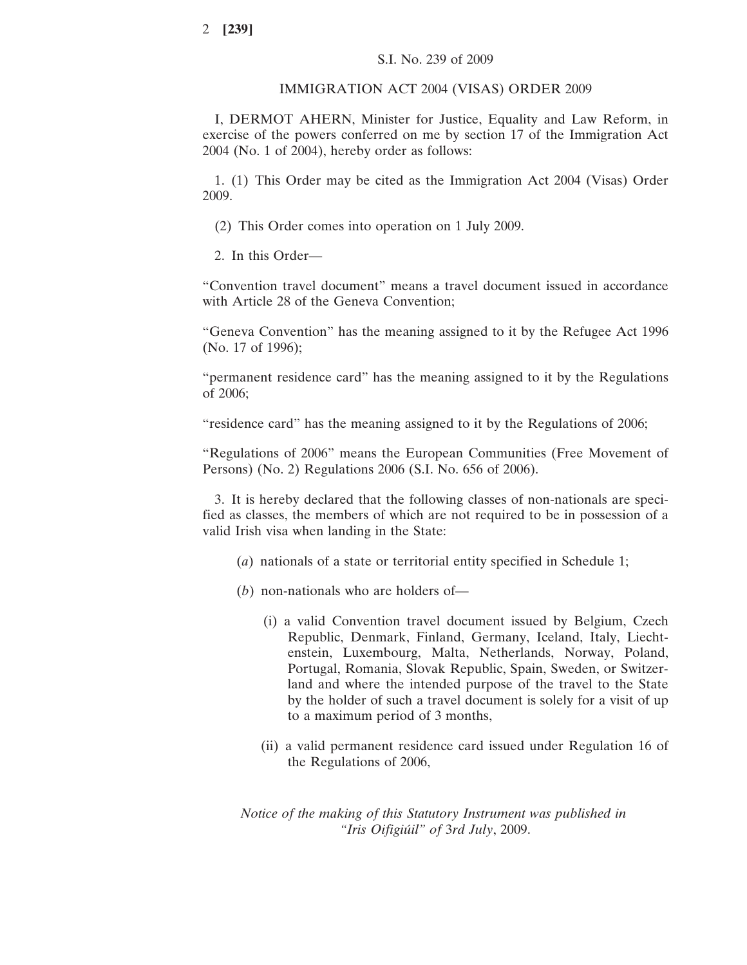#### IMMIGRATION ACT 2004 (VISAS) ORDER 2009

I, DERMOT AHERN, Minister for Justice, Equality and Law Reform, in exercise of the powers conferred on me by section 17 of the Immigration Act 2004 (No. 1 of 2004), hereby order as follows:

1. (1) This Order may be cited as the Immigration Act 2004 (Visas) Order 2009.

(2) This Order comes into operation on 1 July 2009.

2. In this Order—

"Convention travel document" means a travel document issued in accordance with Article 28 of the Geneva Convention;

"Geneva Convention" has the meaning assigned to it by the Refugee Act 1996 (No. 17 of 1996);

"permanent residence card" has the meaning assigned to it by the Regulations of 2006;

"residence card" has the meaning assigned to it by the Regulations of 2006;

"Regulations of 2006" means the European Communities (Free Movement of Persons) (No. 2) Regulations 2006 (S.I. No. 656 of 2006).

3. It is hereby declared that the following classes of non-nationals are specified as classes, the members of which are not required to be in possession of a valid Irish visa when landing in the State:

- (*a*) nationals of a state or territorial entity specified in Schedule 1;
- (*b*) non-nationals who are holders of—
	- (i) a valid Convention travel document issued by Belgium, Czech Republic, Denmark, Finland, Germany, Iceland, Italy, Liechtenstein, Luxembourg, Malta, Netherlands, Norway, Poland, Portugal, Romania, Slovak Republic, Spain, Sweden, or Switzerland and where the intended purpose of the travel to the State by the holder of such a travel document is solely for a visit of up to a maximum period of 3 months,
	- (ii) a valid permanent residence card issued under Regulation 16 of the Regulations of 2006,

*Notice of the making of this Statutory Instrument was published in "Iris Oifigiu´il" of* 3*rd July*, 2009.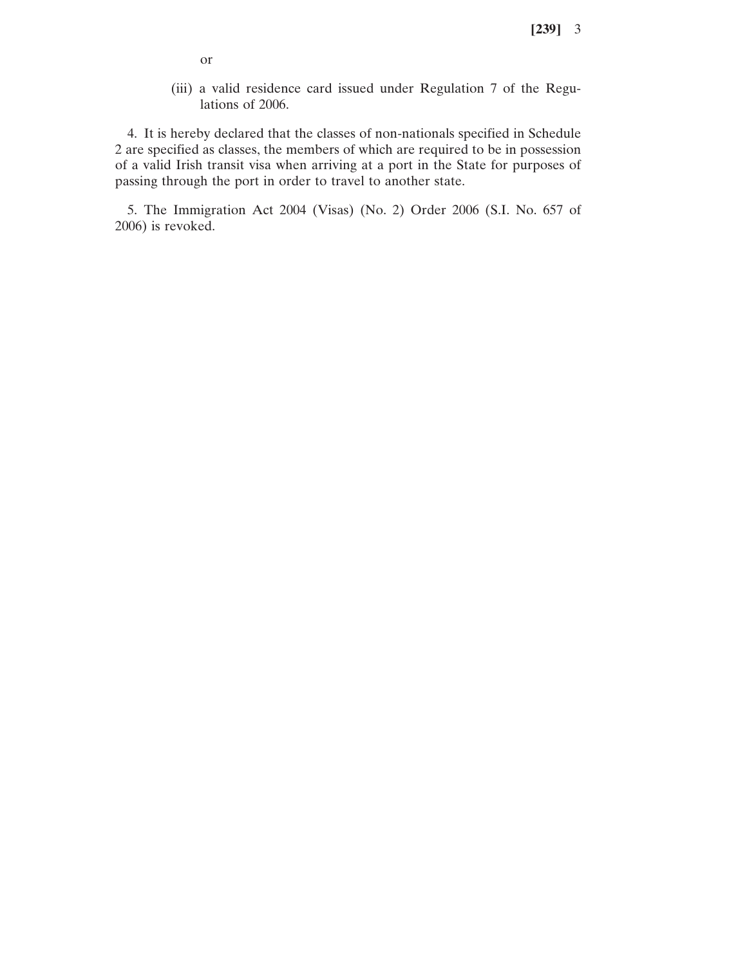- or
- (iii) a valid residence card issued under Regulation 7 of the Regulations of 2006.

4. It is hereby declared that the classes of non-nationals specified in Schedule 2 are specified as classes, the members of which are required to be in possession of a valid Irish transit visa when arriving at a port in the State for purposes of passing through the port in order to travel to another state.

5. The Immigration Act 2004 (Visas) (No. 2) Order 2006 (S.I. No. 657 of 2006) is revoked.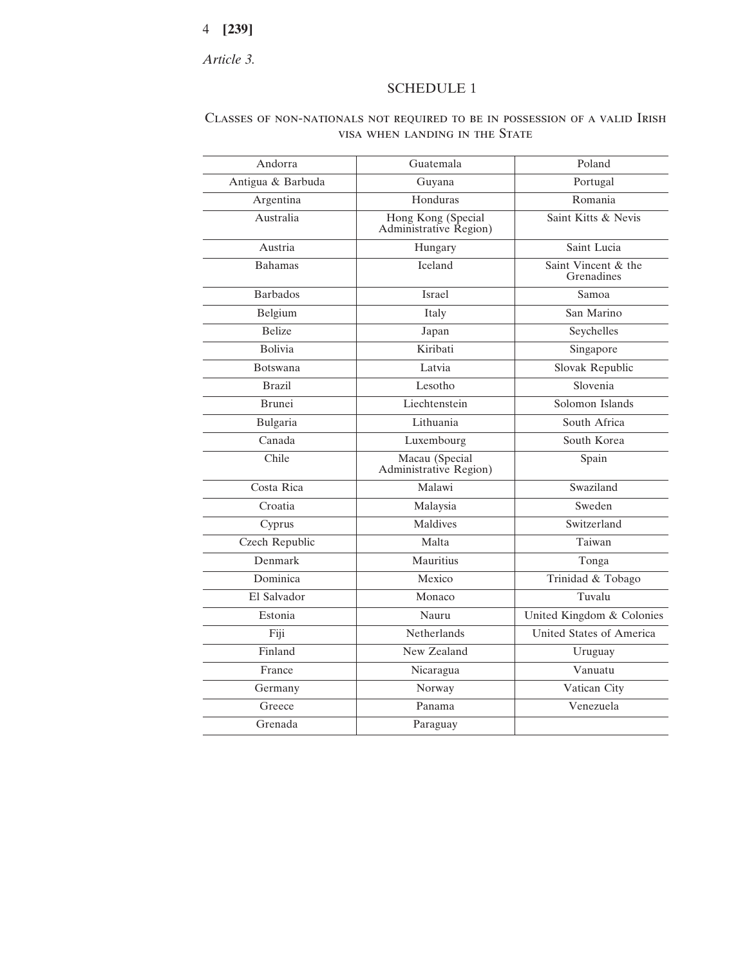# 4 **[239]**

*Article 3.*

### SCHEDULE 1

## Classes of non-nationals not required to be in possession of a valid Irish visa when landing in the State

| Andorra           | Guatemala                                    | Poland                            |
|-------------------|----------------------------------------------|-----------------------------------|
| Antigua & Barbuda | Guyana                                       | Portugal                          |
| Argentina         | Honduras                                     | Romania                           |
| Australia         | Hong Kong (Special<br>Administrative Region) | Saint Kitts & Nevis               |
| Austria           | Hungary                                      | Saint Lucia                       |
| <b>Bahamas</b>    | Iceland                                      | Saint Vincent & the<br>Grenadines |
| <b>Barbados</b>   | Israel                                       | Samoa                             |
| Belgium           | Italy                                        | San Marino                        |
| <b>Belize</b>     | Japan                                        | Seychelles                        |
| <b>Bolivia</b>    | Kiribati                                     | Singapore                         |
| <b>Botswana</b>   | Latvia                                       | Slovak Republic                   |
| <b>Brazil</b>     | Lesotho                                      | Slovenia                          |
| Brunei            | Liechtenstein                                | Solomon Islands                   |
| Bulgaria          | Lithuania                                    | South Africa                      |
| Canada            | Luxembourg                                   | South Korea                       |
| Chile             | Macau (Special<br>Administrative Region)     | Spain                             |
| Costa Rica        | Malawi                                       | Swaziland                         |
| Croatia           | Malaysia                                     | Sweden                            |
| Cyprus            | Maldives                                     | Switzerland                       |
| Czech Republic    | Malta                                        | Taiwan                            |
| Denmark           | Mauritius                                    | Tonga                             |
| Dominica          | Mexico                                       | Trinidad & Tobago                 |
| El Salvador       | Monaco                                       | Tuvalu                            |
| Estonia           | Nauru                                        | United Kingdom & Colonies         |
| Fiji              | Netherlands                                  | United States of America          |
| Finland           | New Zealand                                  | Uruguay                           |
| France            | Nicaragua                                    | Vanuatu                           |
| Germany           | Norway                                       | Vatican City                      |
| Greece            | Panama                                       | Venezuela                         |
| Grenada           | Paraguay                                     |                                   |
|                   |                                              |                                   |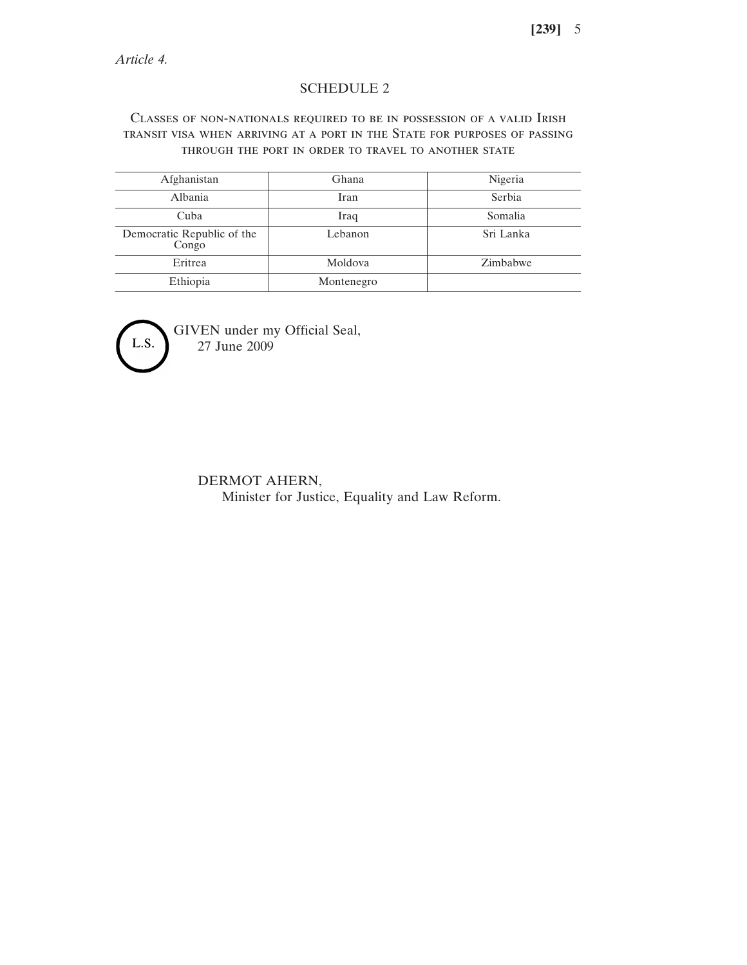## SCHEDULE 2

## Classes of non-nationals required to be in possession of a valid Irish transit visa when arriving at a port in the State for purposes of passing through the port in order to travel to another state

| Afghanistan                         | Ghana      | Nigeria   |
|-------------------------------------|------------|-----------|
| Albania                             | Iran       | Serbia    |
| Cuba                                | Iraq       | Somalia   |
| Democratic Republic of the<br>Congo | Lebanon    | Sri Lanka |
| Eritrea                             | Moldova    | Zimbabwe  |
| Ethiopia                            | Montenegro |           |



GIVEN under my Official Seal, 27 June 2009

> DERMOT AHERN, Minister for Justice, Equality and Law Reform.